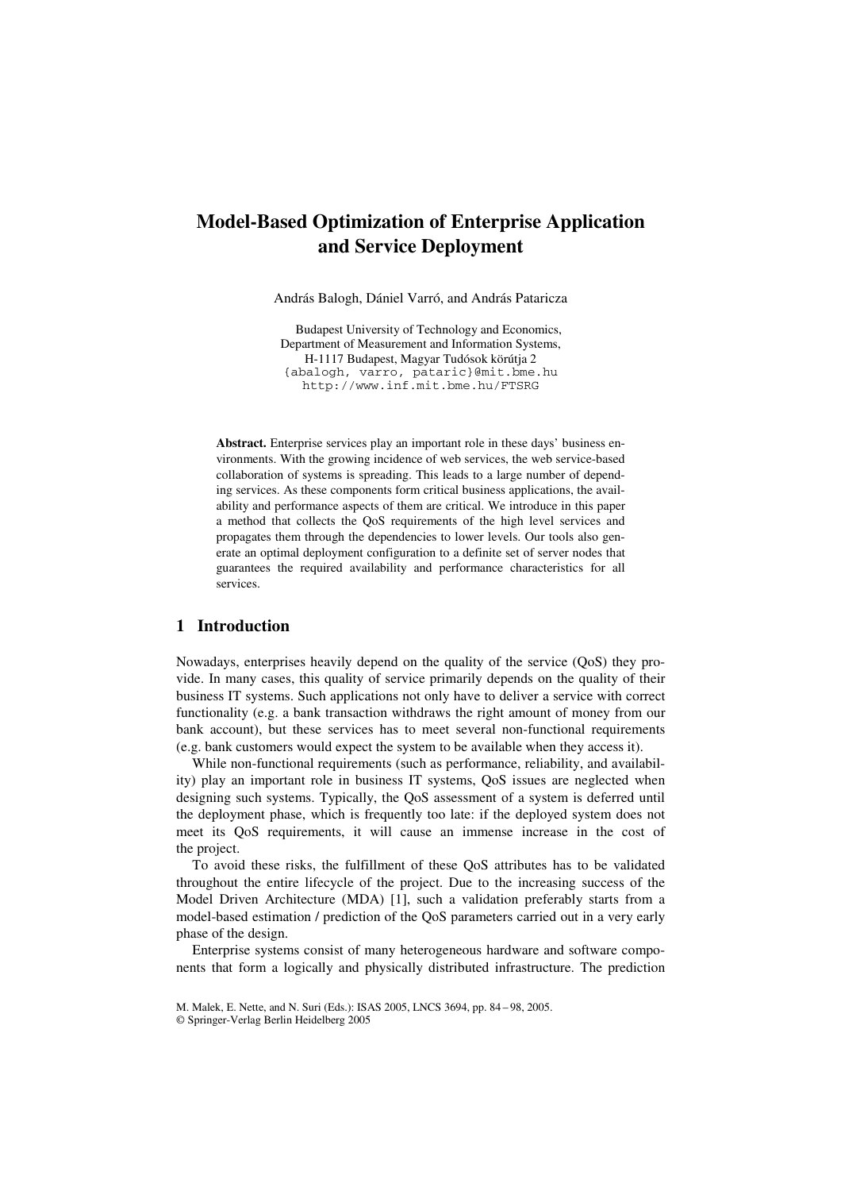# **Model-Based Optimization of Enterprise Application and Service Deployment**

András Balogh, Dániel Varró, and András Pataricza

Budapest University of Technology and Economics, Department of Measurement and Information Systems, H-1117 Budapest, Magyar Tudósok körútja 2 {abalogh, varro, pataric}@mit.bme.hu http://www.inf.mit.bme.hu/FTSRG

**Abstract.** Enterprise services play an important role in these days' business environments. With the growing incidence of web services, the web service-based collaboration of systems is spreading. This leads to a large number of depending services. As these components form critical business applications, the availability and performance aspects of them are critical. We introduce in this paper a method that collects the QoS requirements of the high level services and propagates them through the dependencies to lower levels. Our tools also generate an optimal deployment configuration to a definite set of server nodes that guarantees the required availability and performance characteristics for all services.

# **1 Introduction**

Nowadays, enterprises heavily depend on the quality of the service (QoS) they provide. In many cases, this quality of service primarily depends on the quality of their business IT systems. Such applications not only have to deliver a service with correct functionality (e.g. a bank transaction withdraws the right amount of money from our bank account), but these services has to meet several non-functional requirements (e.g. bank customers would expect the system to be available when they access it).

While non-functional requirements (such as performance, reliability, and availability) play an important role in business IT systems, QoS issues are neglected when designing such systems. Typically, the QoS assessment of a system is deferred until the deployment phase, which is frequently too late: if the deployed system does not meet its QoS requirements, it will cause an immense increase in the cost of the project.

To avoid these risks, the fulfillment of these QoS attributes has to be validated throughout the entire lifecycle of the project. Due to the increasing success of the Model Driven Architecture (MDA) [1], such a validation preferably starts from a model-based estimation / prediction of the QoS parameters carried out in a very early phase of the design.

Enterprise systems consist of many heterogeneous hardware and software components that form a logically and physically distributed infrastructure. The prediction

M. Malek, E. Nette, and N. Suri (Eds.): ISAS 2005, LNCS 3694, pp. 84 – 98, 2005.

<sup>©</sup> Springer-Verlag Berlin Heidelberg 2005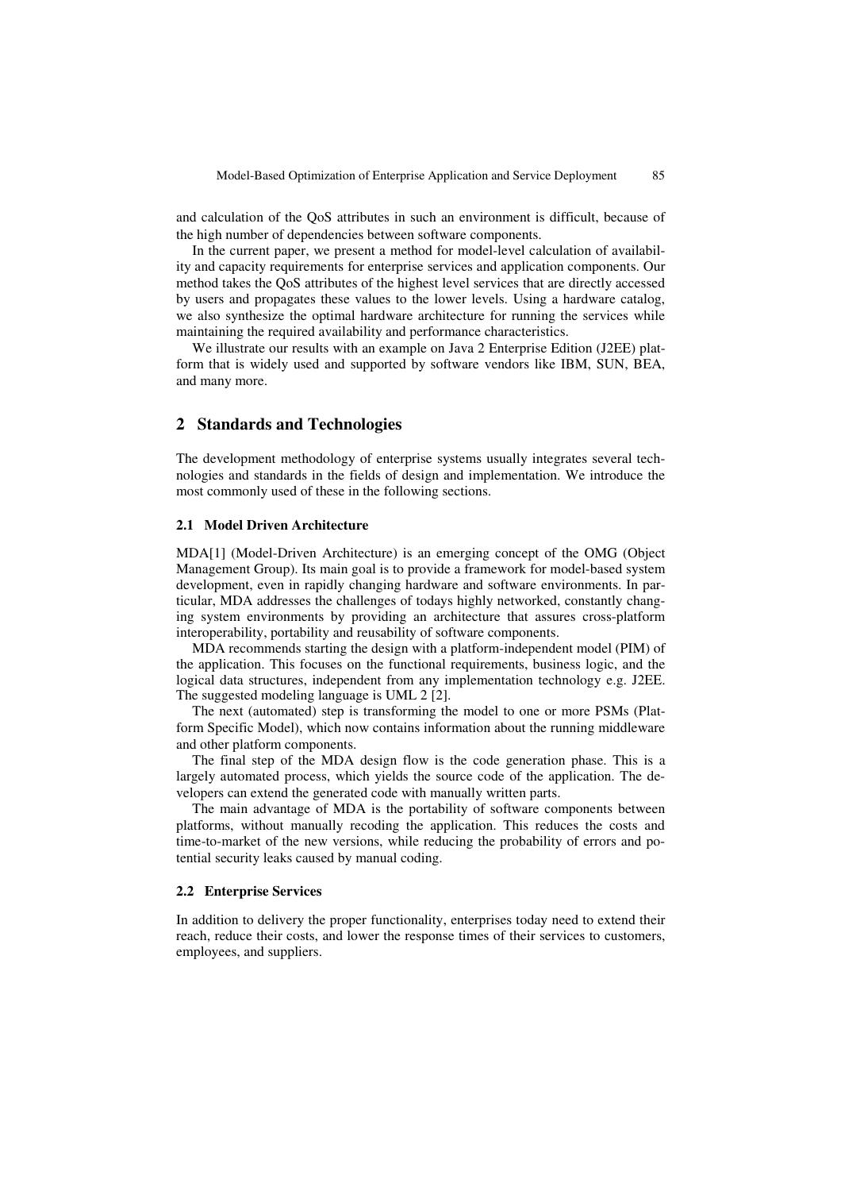and calculation of the QoS attributes in such an environment is difficult, because of the high number of dependencies between software components.

In the current paper, we present a method for model-level calculation of availability and capacity requirements for enterprise services and application components. Our method takes the QoS attributes of the highest level services that are directly accessed by users and propagates these values to the lower levels. Using a hardware catalog, we also synthesize the optimal hardware architecture for running the services while maintaining the required availability and performance characteristics.

We illustrate our results with an example on Java 2 Enterprise Edition (J2EE) platform that is widely used and supported by software vendors like IBM, SUN, BEA, and many more.

# **2 Standards and Technologies**

The development methodology of enterprise systems usually integrates several technologies and standards in the fields of design and implementation. We introduce the most commonly used of these in the following sections.

### **2.1 Model Driven Architecture**

MDA[1] (Model-Driven Architecture) is an emerging concept of the OMG (Object Management Group). Its main goal is to provide a framework for model-based system development, even in rapidly changing hardware and software environments. In particular, MDA addresses the challenges of todays highly networked, constantly changing system environments by providing an architecture that assures cross-platform interoperability, portability and reusability of software components.

MDA recommends starting the design with a platform-independent model (PIM) of the application. This focuses on the functional requirements, business logic, and the logical data structures, independent from any implementation technology e.g. J2EE. The suggested modeling language is UML 2 [2].

The next (automated) step is transforming the model to one or more PSMs (Platform Specific Model), which now contains information about the running middleware and other platform components.

The final step of the MDA design flow is the code generation phase. This is a largely automated process, which yields the source code of the application. The developers can extend the generated code with manually written parts.

The main advantage of MDA is the portability of software components between platforms, without manually recoding the application. This reduces the costs and time-to-market of the new versions, while reducing the probability of errors and potential security leaks caused by manual coding.

# **2.2 Enterprise Services**

In addition to delivery the proper functionality, enterprises today need to extend their reach, reduce their costs, and lower the response times of their services to customers, employees, and suppliers.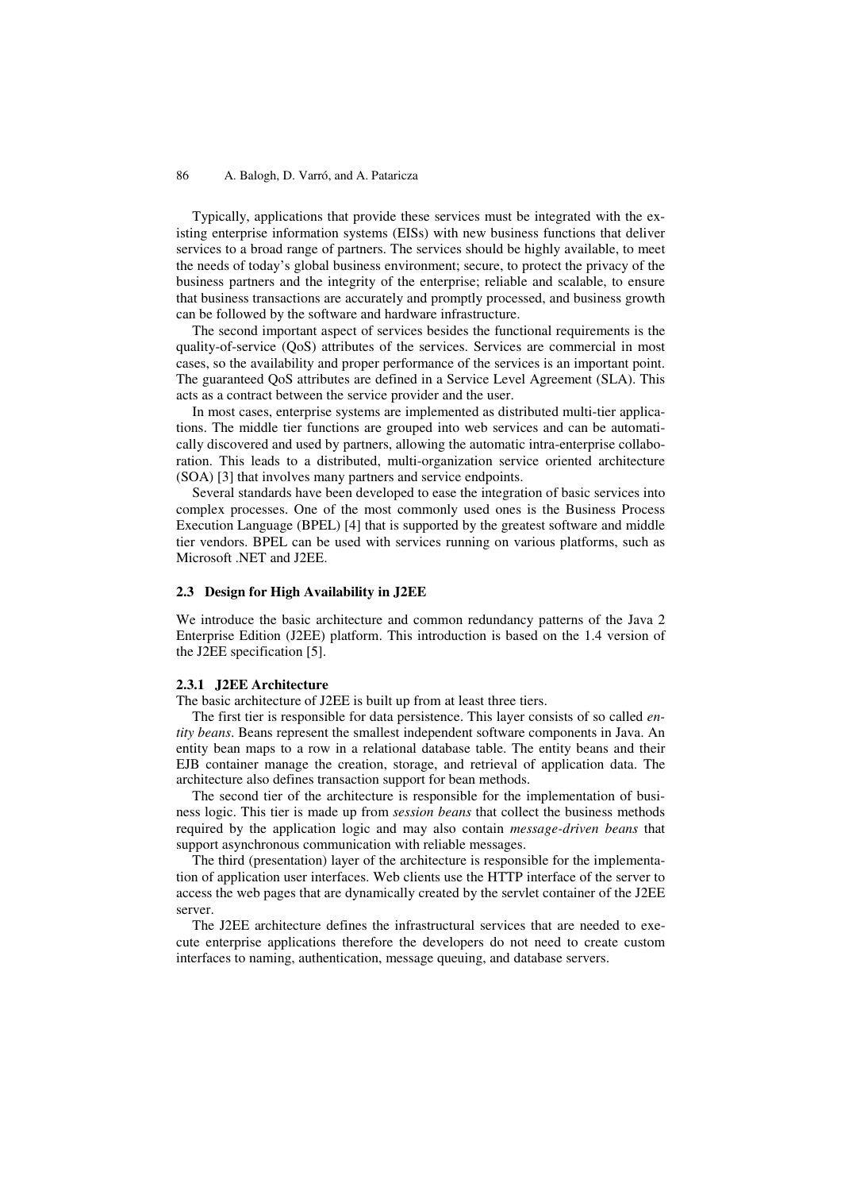Typically, applications that provide these services must be integrated with the existing enterprise information systems (EISs) with new business functions that deliver services to a broad range of partners. The services should be highly available, to meet the needs of today's global business environment; secure, to protect the privacy of the business partners and the integrity of the enterprise; reliable and scalable, to ensure that business transactions are accurately and promptly processed, and business growth can be followed by the software and hardware infrastructure.

The second important aspect of services besides the functional requirements is the quality-of-service (QoS) attributes of the services. Services are commercial in most cases, so the availability and proper performance of the services is an important point. The guaranteed QoS attributes are defined in a Service Level Agreement (SLA). This acts as a contract between the service provider and the user.

In most cases, enterprise systems are implemented as distributed multi-tier applications. The middle tier functions are grouped into web services and can be automatically discovered and used by partners, allowing the automatic intra-enterprise collaboration. This leads to a distributed, multi-organization service oriented architecture (SOA) [3] that involves many partners and service endpoints.

Several standards have been developed to ease the integration of basic services into complex processes. One of the most commonly used ones is the Business Process Execution Language (BPEL) [4] that is supported by the greatest software and middle tier vendors. BPEL can be used with services running on various platforms, such as Microsoft .NET and J2EE.

# **2.3 Design for High Availability in J2EE**

We introduce the basic architecture and common redundancy patterns of the Java 2 Enterprise Edition (J2EE) platform. This introduction is based on the 1.4 version of the J2EE specification [5].

#### **2.3.1 J2EE Architecture**

The basic architecture of J2EE is built up from at least three tiers.

The first tier is responsible for data persistence. This layer consists of so called *entity beans*. Beans represent the smallest independent software components in Java. An entity bean maps to a row in a relational database table. The entity beans and their EJB container manage the creation, storage, and retrieval of application data. The architecture also defines transaction support for bean methods.

The second tier of the architecture is responsible for the implementation of business logic. This tier is made up from *session beans* that collect the business methods required by the application logic and may also contain *message-driven beans* that support asynchronous communication with reliable messages.

The third (presentation) layer of the architecture is responsible for the implementation of application user interfaces. Web clients use the HTTP interface of the server to access the web pages that are dynamically created by the servlet container of the J2EE server.

The J2EE architecture defines the infrastructural services that are needed to execute enterprise applications therefore the developers do not need to create custom interfaces to naming, authentication, message queuing, and database servers.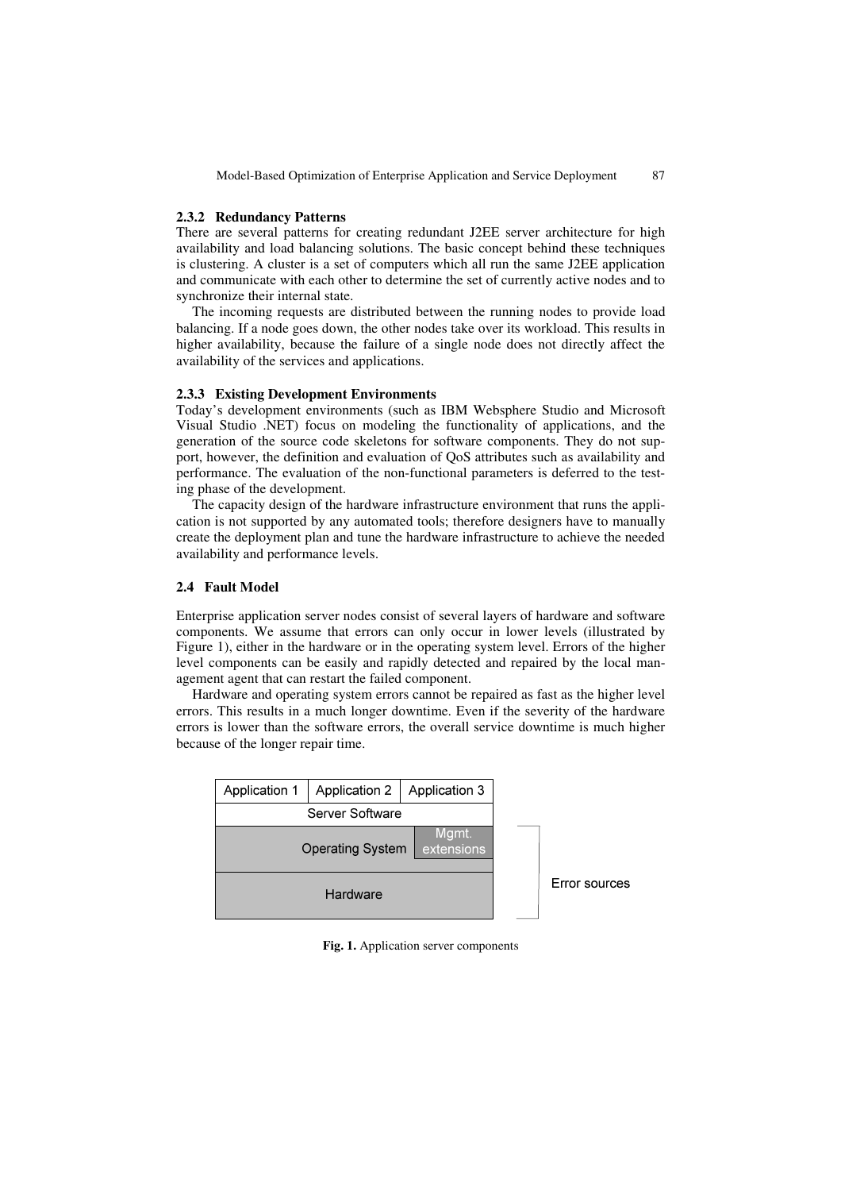# **2.3.2 Redundancy Patterns**

There are several patterns for creating redundant J2EE server architecture for high availability and load balancing solutions. The basic concept behind these techniques is clustering. A cluster is a set of computers which all run the same J2EE application and communicate with each other to determine the set of currently active nodes and to synchronize their internal state.

The incoming requests are distributed between the running nodes to provide load balancing. If a node goes down, the other nodes take over its workload. This results in higher availability, because the failure of a single node does not directly affect the availability of the services and applications.

# **2.3.3 Existing Development Environments**

Today's development environments (such as IBM Websphere Studio and Microsoft Visual Studio .NET) focus on modeling the functionality of applications, and the generation of the source code skeletons for software components. They do not support, however, the definition and evaluation of QoS attributes such as availability and performance. The evaluation of the non-functional parameters is deferred to the testing phase of the development.

The capacity design of the hardware infrastructure environment that runs the application is not supported by any automated tools; therefore designers have to manually create the deployment plan and tune the hardware infrastructure to achieve the needed availability and performance levels.

# **2.4 Fault Model**

Enterprise application server nodes consist of several layers of hardware and software components. We assume that errors can only occur in lower levels (illustrated by Figure 1), either in the hardware or in the operating system level. Errors of the higher level components can be easily and rapidly detected and repaired by the local management agent that can restart the failed component.

Hardware and operating system errors cannot be repaired as fast as the higher level errors. This results in a much longer downtime. Even if the severity of the hardware errors is lower than the software errors, the overall service downtime is much higher because of the longer repair time.



**Fig. 1.** Application server components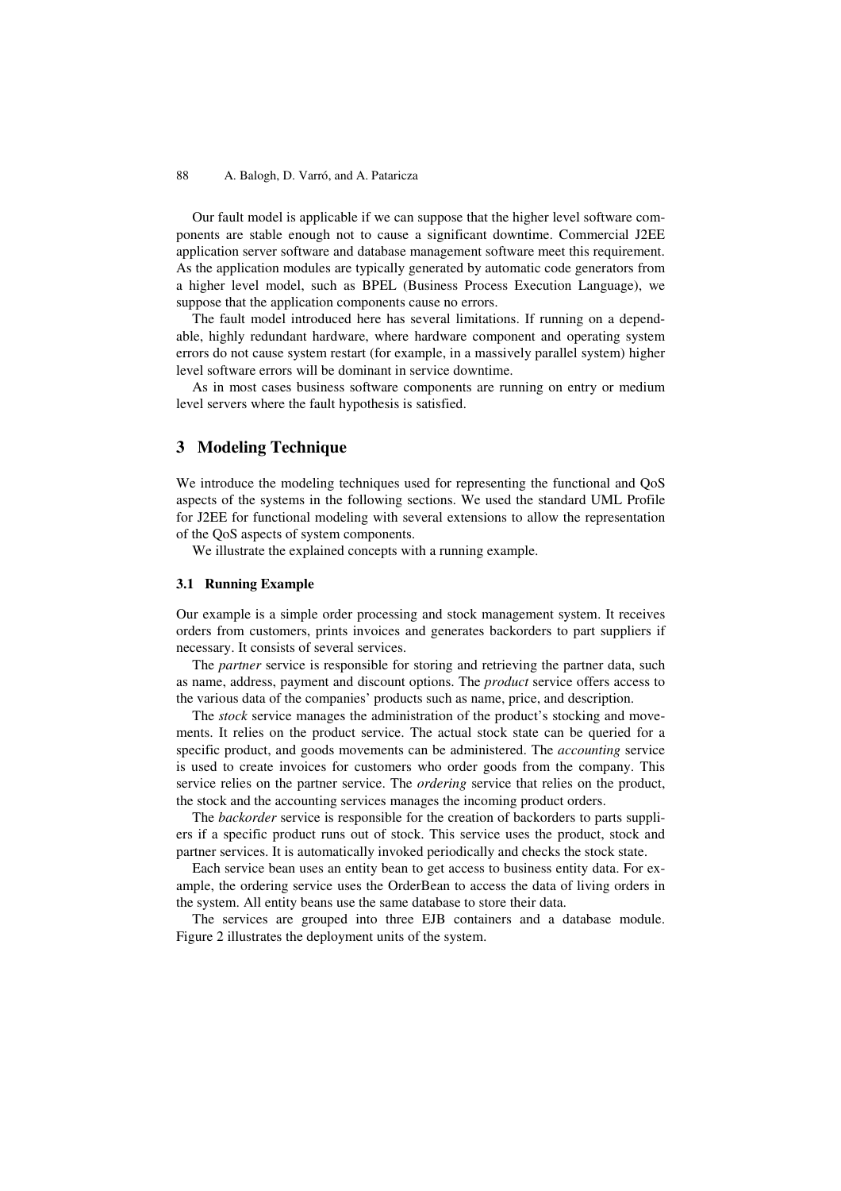Our fault model is applicable if we can suppose that the higher level software components are stable enough not to cause a significant downtime. Commercial J2EE application server software and database management software meet this requirement. As the application modules are typically generated by automatic code generators from a higher level model, such as BPEL (Business Process Execution Language), we suppose that the application components cause no errors.

The fault model introduced here has several limitations. If running on a dependable, highly redundant hardware, where hardware component and operating system errors do not cause system restart (for example, in a massively parallel system) higher level software errors will be dominant in service downtime.

As in most cases business software components are running on entry or medium level servers where the fault hypothesis is satisfied.

# **3 Modeling Technique**

We introduce the modeling techniques used for representing the functional and QoS aspects of the systems in the following sections. We used the standard UML Profile for J2EE for functional modeling with several extensions to allow the representation of the QoS aspects of system components.

We illustrate the explained concepts with a running example.

# **3.1 Running Example**

Our example is a simple order processing and stock management system. It receives orders from customers, prints invoices and generates backorders to part suppliers if necessary. It consists of several services.

The *partner* service is responsible for storing and retrieving the partner data, such as name, address, payment and discount options. The *product* service offers access to the various data of the companies' products such as name, price, and description.

The *stock* service manages the administration of the product's stocking and movements. It relies on the product service. The actual stock state can be queried for a specific product, and goods movements can be administered. The *accounting* service is used to create invoices for customers who order goods from the company. This service relies on the partner service. The *ordering* service that relies on the product, the stock and the accounting services manages the incoming product orders.

The *backorder* service is responsible for the creation of backorders to parts suppliers if a specific product runs out of stock. This service uses the product, stock and partner services. It is automatically invoked periodically and checks the stock state.

Each service bean uses an entity bean to get access to business entity data. For example, the ordering service uses the OrderBean to access the data of living orders in the system. All entity beans use the same database to store their data.

The services are grouped into three EJB containers and a database module. Figure 2 illustrates the deployment units of the system.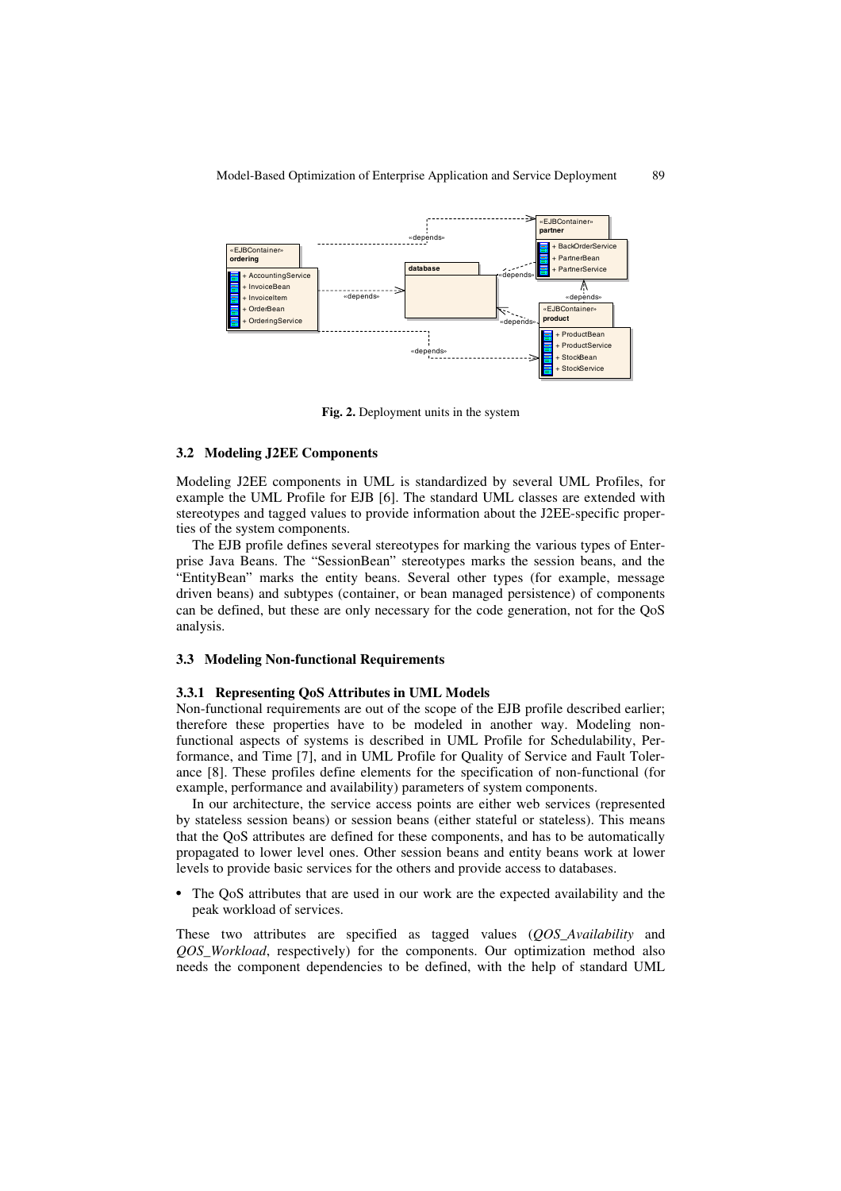

**Fig. 2.** Deployment units in the system

#### **3.2 Modeling J2EE Components**

Modeling J2EE components in UML is standardized by several UML Profiles, for example the UML Profile for EJB [6]. The standard UML classes are extended with stereotypes and tagged values to provide information about the J2EE-specific properties of the system components.

The EJB profile defines several stereotypes for marking the various types of Enterprise Java Beans. The "SessionBean" stereotypes marks the session beans, and the "EntityBean" marks the entity beans. Several other types (for example, message driven beans) and subtypes (container, or bean managed persistence) of components can be defined, but these are only necessary for the code generation, not for the QoS analysis.

# **3.3 Modeling Non-functional Requirements**

#### **3.3.1 Representing QoS Attributes in UML Models**

Non-functional requirements are out of the scope of the EJB profile described earlier; therefore these properties have to be modeled in another way. Modeling nonfunctional aspects of systems is described in UML Profile for Schedulability, Performance, and Time [7], and in UML Profile for Quality of Service and Fault Tolerance [8]. These profiles define elements for the specification of non-functional (for example, performance and availability) parameters of system components.

In our architecture, the service access points are either web services (represented by stateless session beans) or session beans (either stateful or stateless). This means that the QoS attributes are defined for these components, and has to be automatically propagated to lower level ones. Other session beans and entity beans work at lower levels to provide basic services for the others and provide access to databases.

• The QoS attributes that are used in our work are the expected availability and the peak workload of services.

These two attributes are specified as tagged values (*QOS\_Availability* and *QOS\_Workload*, respectively) for the components. Our optimization method also needs the component dependencies to be defined, with the help of standard UML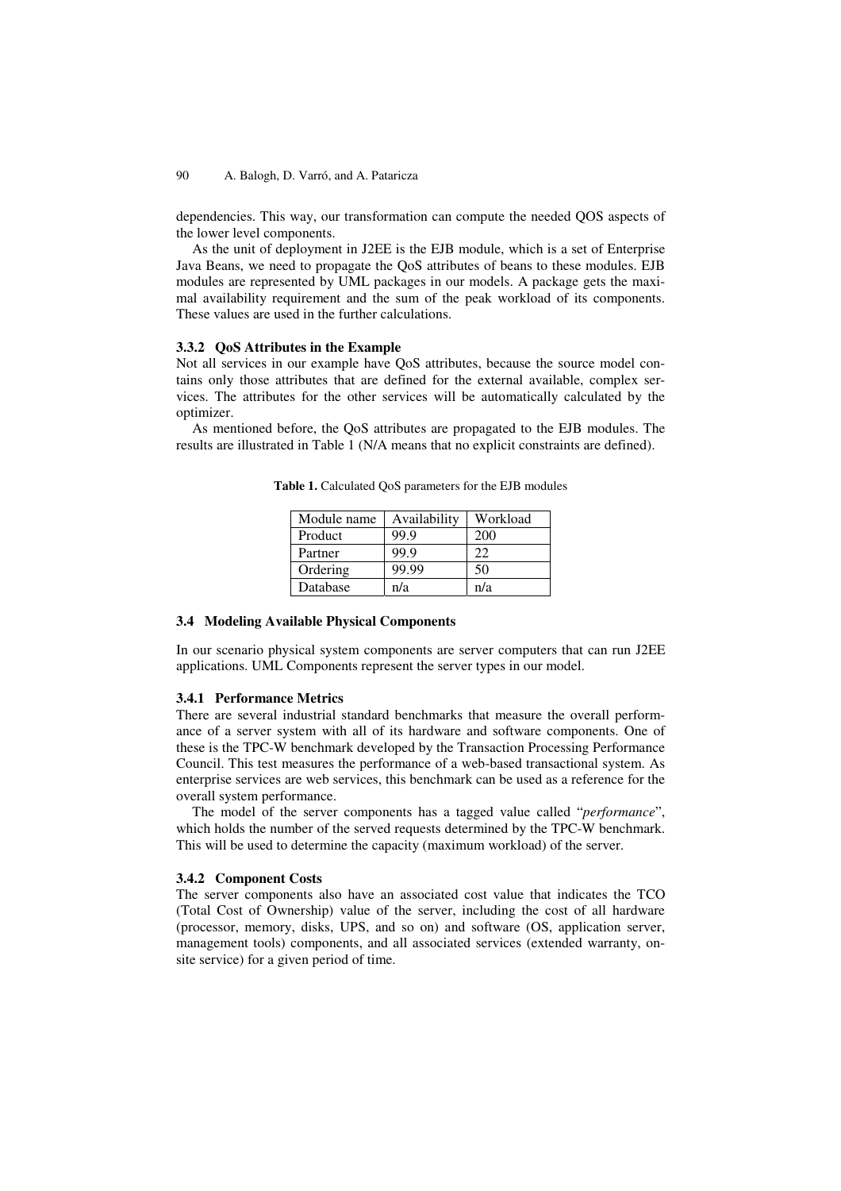dependencies. This way, our transformation can compute the needed QOS aspects of the lower level components.

As the unit of deployment in J2EE is the EJB module, which is a set of Enterprise Java Beans, we need to propagate the QoS attributes of beans to these modules. EJB modules are represented by UML packages in our models. A package gets the maximal availability requirement and the sum of the peak workload of its components. These values are used in the further calculations.

### **3.3.2 QoS Attributes in the Example**

Not all services in our example have QoS attributes, because the source model contains only those attributes that are defined for the external available, complex services. The attributes for the other services will be automatically calculated by the optimizer.

As mentioned before, the QoS attributes are propagated to the EJB modules. The results are illustrated in Table 1 (N/A means that no explicit constraints are defined).

| Module name | Availability | Workload |
|-------------|--------------|----------|
| Product     | 99.9         | 200      |
| Partner     | 99.9         | 22       |
| Ordering    | 99.99        | 50       |
| Database    | n/a          | n/a      |

**Table 1.** Calculated QoS parameters for the EJB modules

#### **3.4 Modeling Available Physical Components**

In our scenario physical system components are server computers that can run J2EE applications. UML Components represent the server types in our model.

#### **3.4.1 Performance Metrics**

There are several industrial standard benchmarks that measure the overall performance of a server system with all of its hardware and software components. One of these is the TPC-W benchmark developed by the Transaction Processing Performance Council. This test measures the performance of a web-based transactional system. As enterprise services are web services, this benchmark can be used as a reference for the overall system performance.

The model of the server components has a tagged value called "*performance*", which holds the number of the served requests determined by the TPC-W benchmark. This will be used to determine the capacity (maximum workload) of the server.

# **3.4.2 Component Costs**

The server components also have an associated cost value that indicates the TCO (Total Cost of Ownership) value of the server, including the cost of all hardware (processor, memory, disks, UPS, and so on) and software (OS, application server, management tools) components, and all associated services (extended warranty, onsite service) for a given period of time.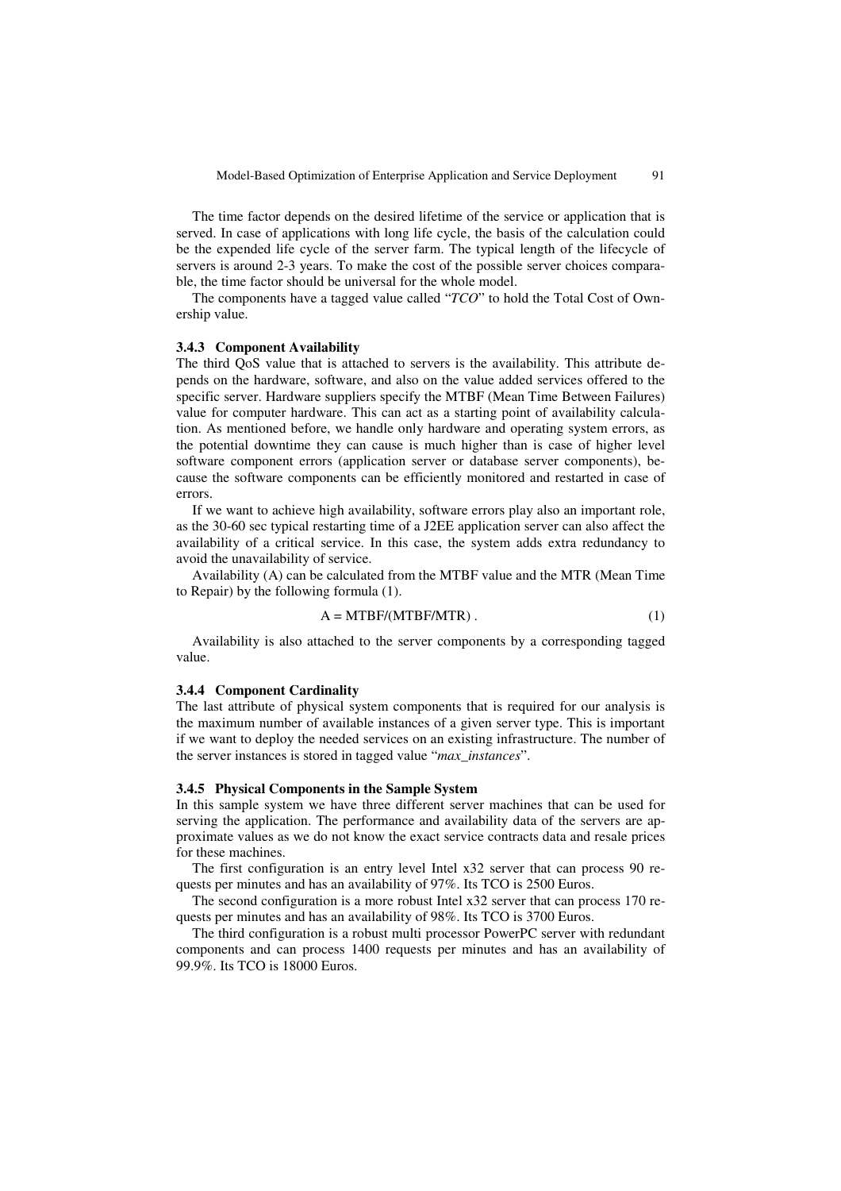The time factor depends on the desired lifetime of the service or application that is served. In case of applications with long life cycle, the basis of the calculation could be the expended life cycle of the server farm. The typical length of the lifecycle of servers is around 2-3 years. To make the cost of the possible server choices comparable, the time factor should be universal for the whole model.

The components have a tagged value called "*TCO*" to hold the Total Cost of Ownership value.

# **3.4.3 Component Availability**

The third QoS value that is attached to servers is the availability. This attribute depends on the hardware, software, and also on the value added services offered to the specific server. Hardware suppliers specify the MTBF (Mean Time Between Failures) value for computer hardware. This can act as a starting point of availability calculation. As mentioned before, we handle only hardware and operating system errors, as the potential downtime they can cause is much higher than is case of higher level software component errors (application server or database server components), because the software components can be efficiently monitored and restarted in case of errors.

If we want to achieve high availability, software errors play also an important role, as the 30-60 sec typical restarting time of a J2EE application server can also affect the availability of a critical service. In this case, the system adds extra redundancy to avoid the unavailability of service.

Availability (A) can be calculated from the MTBF value and the MTR (Mean Time to Repair) by the following formula (1).

$$
A = MTBF/(MTBF/MTR)
$$
 (1)

Availability is also attached to the server components by a corresponding tagged value.

# **3.4.4 Component Cardinality**

The last attribute of physical system components that is required for our analysis is the maximum number of available instances of a given server type. This is important if we want to deploy the needed services on an existing infrastructure. The number of the server instances is stored in tagged value "*max\_instances*".

#### **3.4.5 Physical Components in the Sample System**

In this sample system we have three different server machines that can be used for serving the application. The performance and availability data of the servers are approximate values as we do not know the exact service contracts data and resale prices for these machines.

The first configuration is an entry level Intel x32 server that can process 90 requests per minutes and has an availability of 97%. Its TCO is 2500 Euros.

The second configuration is a more robust Intel x32 server that can process 170 requests per minutes and has an availability of 98%. Its TCO is 3700 Euros.

The third configuration is a robust multi processor PowerPC server with redundant components and can process 1400 requests per minutes and has an availability of 99.9%. Its TCO is 18000 Euros.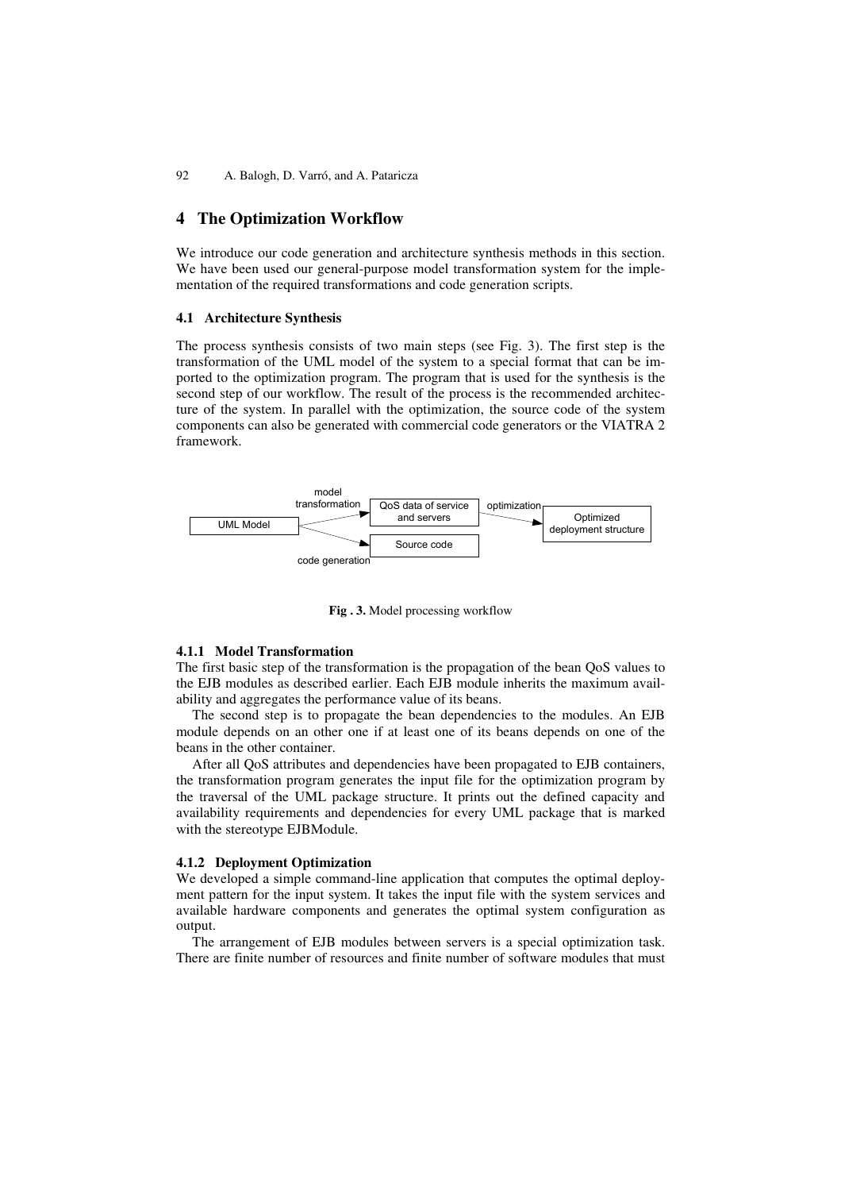# **4 The Optimization Workflow**

We introduce our code generation and architecture synthesis methods in this section. We have been used our general-purpose model transformation system for the implementation of the required transformations and code generation scripts.

### **4.1 Architecture Synthesis**

The process synthesis consists of two main steps (see Fig. 3). The first step is the transformation of the UML model of the system to a special format that can be imported to the optimization program. The program that is used for the synthesis is the second step of our workflow. The result of the process is the recommended architecture of the system. In parallel with the optimization, the source code of the system components can also be generated with commercial code generators or the VIATRA 2 framework.



**Fig . 3.** Model processing workflow

#### **4.1.1 Model Transformation**

The first basic step of the transformation is the propagation of the bean QoS values to the EJB modules as described earlier. Each EJB module inherits the maximum availability and aggregates the performance value of its beans.

The second step is to propagate the bean dependencies to the modules. An EJB module depends on an other one if at least one of its beans depends on one of the beans in the other container.

After all QoS attributes and dependencies have been propagated to EJB containers, the transformation program generates the input file for the optimization program by the traversal of the UML package structure. It prints out the defined capacity and availability requirements and dependencies for every UML package that is marked with the stereotype EJBModule.

#### **4.1.2 Deployment Optimization**

We developed a simple command-line application that computes the optimal deployment pattern for the input system. It takes the input file with the system services and available hardware components and generates the optimal system configuration as output.

The arrangement of EJB modules between servers is a special optimization task. There are finite number of resources and finite number of software modules that must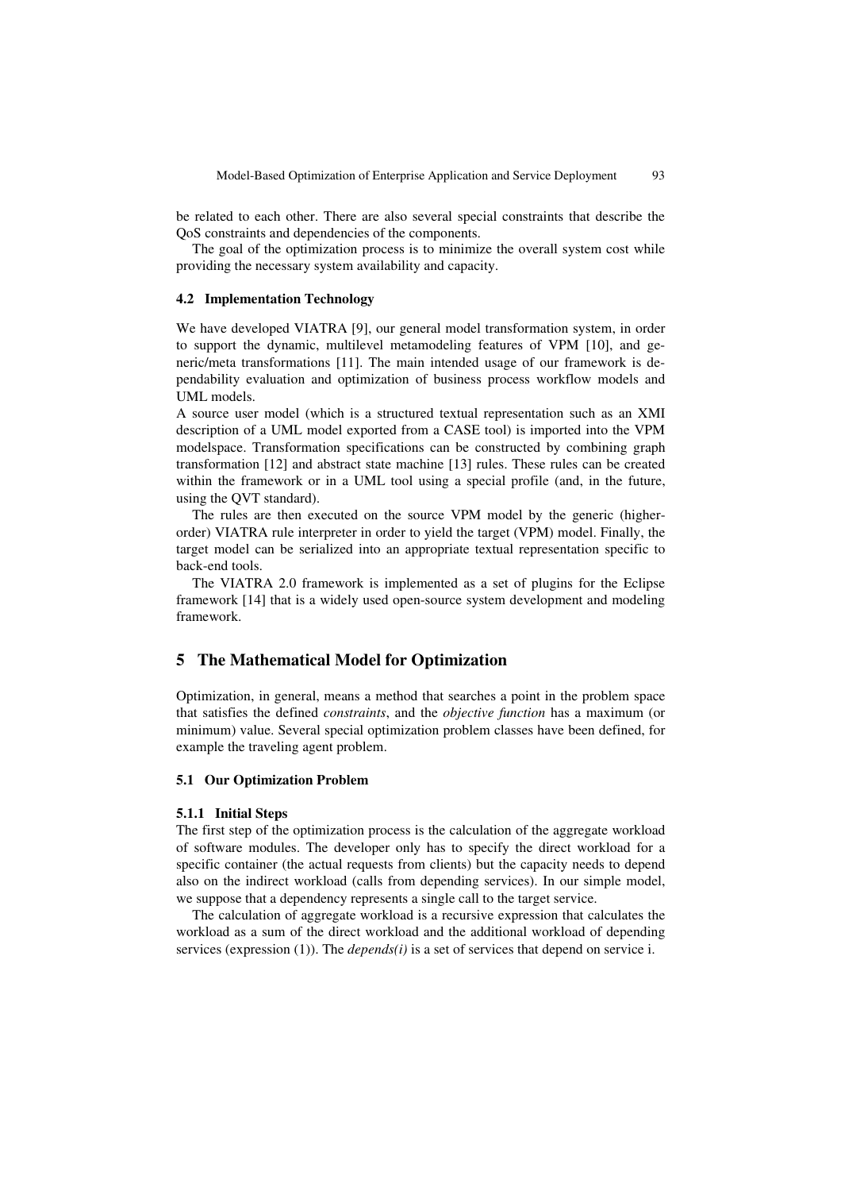be related to each other. There are also several special constraints that describe the QoS constraints and dependencies of the components.

The goal of the optimization process is to minimize the overall system cost while providing the necessary system availability and capacity.

# **4.2 Implementation Technology**

We have developed VIATRA [9], our general model transformation system, in order to support the dynamic, multilevel metamodeling features of VPM [10], and generic/meta transformations [11]. The main intended usage of our framework is dependability evaluation and optimization of business process workflow models and UML models.

A source user model (which is a structured textual representation such as an XMI description of a UML model exported from a CASE tool) is imported into the VPM modelspace. Transformation specifications can be constructed by combining graph transformation [12] and abstract state machine [13] rules. These rules can be created within the framework or in a UML tool using a special profile (and, in the future, using the QVT standard).

The rules are then executed on the source VPM model by the generic (higherorder) VIATRA rule interpreter in order to yield the target (VPM) model. Finally, the target model can be serialized into an appropriate textual representation specific to back-end tools.

The VIATRA 2.0 framework is implemented as a set of plugins for the Eclipse framework [14] that is a widely used open-source system development and modeling framework.

# **5 The Mathematical Model for Optimization**

Optimization, in general, means a method that searches a point in the problem space that satisfies the defined *constraints*, and the *objective function* has a maximum (or minimum) value. Several special optimization problem classes have been defined, for example the traveling agent problem.

### **5.1 Our Optimization Problem**

# **5.1.1 Initial Steps**

The first step of the optimization process is the calculation of the aggregate workload of software modules. The developer only has to specify the direct workload for a specific container (the actual requests from clients) but the capacity needs to depend also on the indirect workload (calls from depending services). In our simple model, we suppose that a dependency represents a single call to the target service.

The calculation of aggregate workload is a recursive expression that calculates the workload as a sum of the direct workload and the additional workload of depending services (expression (1)). The *depends(i)* is a set of services that depend on service i.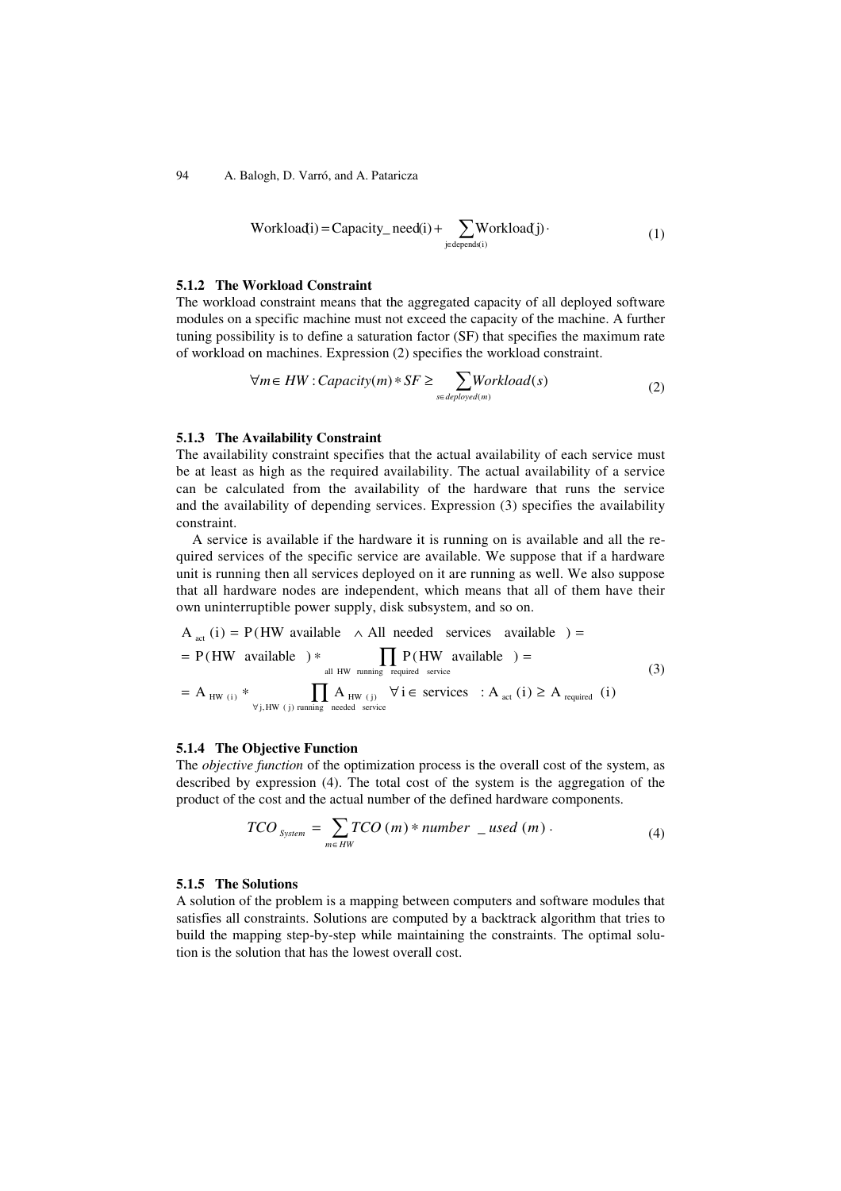Workload(i) = Capacity\\_need(i) + 
$$
\sum_{j \in depends(i)} Workload(j)
$$
 (1)

# **5.1.2 The Workload Constraint**

The workload constraint means that the aggregated capacity of all deployed software modules on a specific machine must not exceed the capacity of the machine. A further tuning possibility is to define a saturation factor (SF) that specifies the maximum rate of workload on machines. Expression (2) specifies the workload constraint.

$$
\forall m \in HW : Capacity(m) * SF \geq \sum_{s \in deployed(m)} Workload(s)
$$
 (2)

# **5.1.3 The Availability Constraint**

The availability constraint specifies that the actual availability of each service must be at least as high as the required availability. The actual availability of a service can be calculated from the availability of the hardware that runs the service and the availability of depending services. Expression (3) specifies the availability constraint.

A service is available if the hardware it is running on is available and all the required services of the specific service are available. We suppose that if a hardware unit is running then all services deployed on it are running as well. We also suppose that all hardware nodes are independent, which means that all of them have their own uninterruptible power supply, disk subsystem, and so on.

$$
A_{act} (i) = P(HW available \wedge All needed services available ) =
$$
\n
$$
= P(HW available ) * \prod_{all\ HW \text{ running required service}} P(HW available ) =
$$
\n
$$
= A_{HW (i)} * \prod_{\forall j, HW (j) \text{ running needed service}} A_{HW (j)} \forall i \in services : A_{act} (i) \ge A_{required} (i)
$$
\n(3)

# **5.1.4 The Objective Function**

The *objective function* of the optimization process is the overall cost of the system, as described by expression (4). The total cost of the system is the aggregation of the product of the cost and the actual number of the defined hardware components.

∑ ∈ = ∗ *m HW TCO System TCO* (*m*) *number* \_ *used* (*m*) . (4)

#### **5.1.5 The Solutions**

A solution of the problem is a mapping between computers and software modules that satisfies all constraints. Solutions are computed by a backtrack algorithm that tries to build the mapping step-by-step while maintaining the constraints. The optimal solution is the solution that has the lowest overall cost.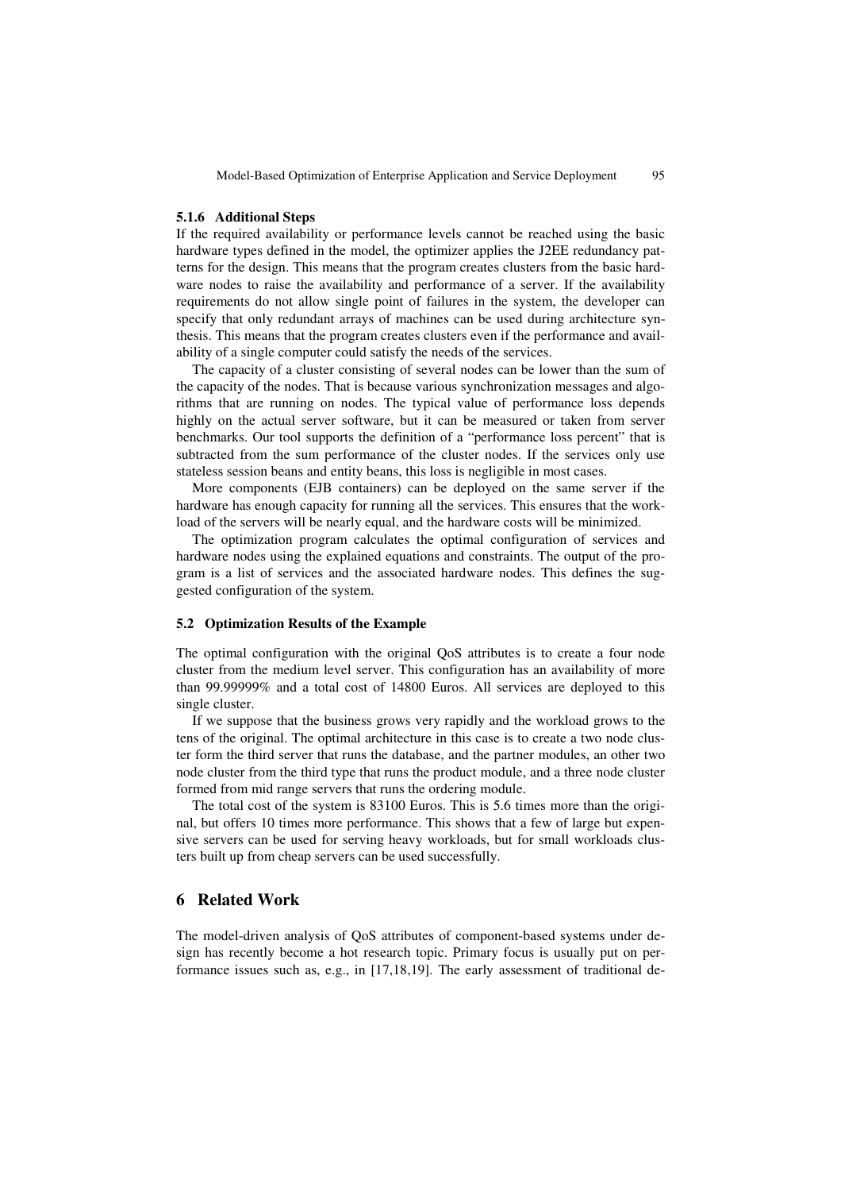#### **5.1.6 Additional Steps**

If the required availability or performance levels cannot be reached using the basic hardware types defined in the model, the optimizer applies the J2EE redundancy patterns for the design. This means that the program creates clusters from the basic hardware nodes to raise the availability and performance of a server. If the availability requirements do not allow single point of failures in the system, the developer can specify that only redundant arrays of machines can be used during architecture synthesis. This means that the program creates clusters even if the performance and availability of a single computer could satisfy the needs of the services.

The capacity of a cluster consisting of several nodes can be lower than the sum of the capacity of the nodes. That is because various synchronization messages and algorithms that are running on nodes. The typical value of performance loss depends highly on the actual server software, but it can be measured or taken from server benchmarks. Our tool supports the definition of a "performance loss percent" that is subtracted from the sum performance of the cluster nodes. If the services only use stateless session beans and entity beans, this loss is negligible in most cases.

More components (EJB containers) can be deployed on the same server if the hardware has enough capacity for running all the services. This ensures that the workload of the servers will be nearly equal, and the hardware costs will be minimized.

The optimization program calculates the optimal configuration of services and hardware nodes using the explained equations and constraints. The output of the program is a list of services and the associated hardware nodes. This defines the suggested configuration of the system.

# **5.2 Optimization Results of the Example**

The optimal configuration with the original QoS attributes is to create a four node cluster from the medium level server. This configuration has an availability of more than 99.99999% and a total cost of 14800 Euros. All services are deployed to this single cluster.

If we suppose that the business grows very rapidly and the workload grows to the tens of the original. The optimal architecture in this case is to create a two node cluster form the third server that runs the database, and the partner modules, an other two node cluster from the third type that runs the product module, and a three node cluster formed from mid range servers that runs the ordering module.

The total cost of the system is 83100 Euros. This is 5.6 times more than the original, but offers 10 times more performance. This shows that a few of large but expensive servers can be used for serving heavy workloads, but for small workloads clusters built up from cheap servers can be used successfully.

# **6 Related Work**

The model-driven analysis of QoS attributes of component-based systems under design has recently become a hot research topic. Primary focus is usually put on performance issues such as, e.g., in [17,18,19]. The early assessment of traditional de-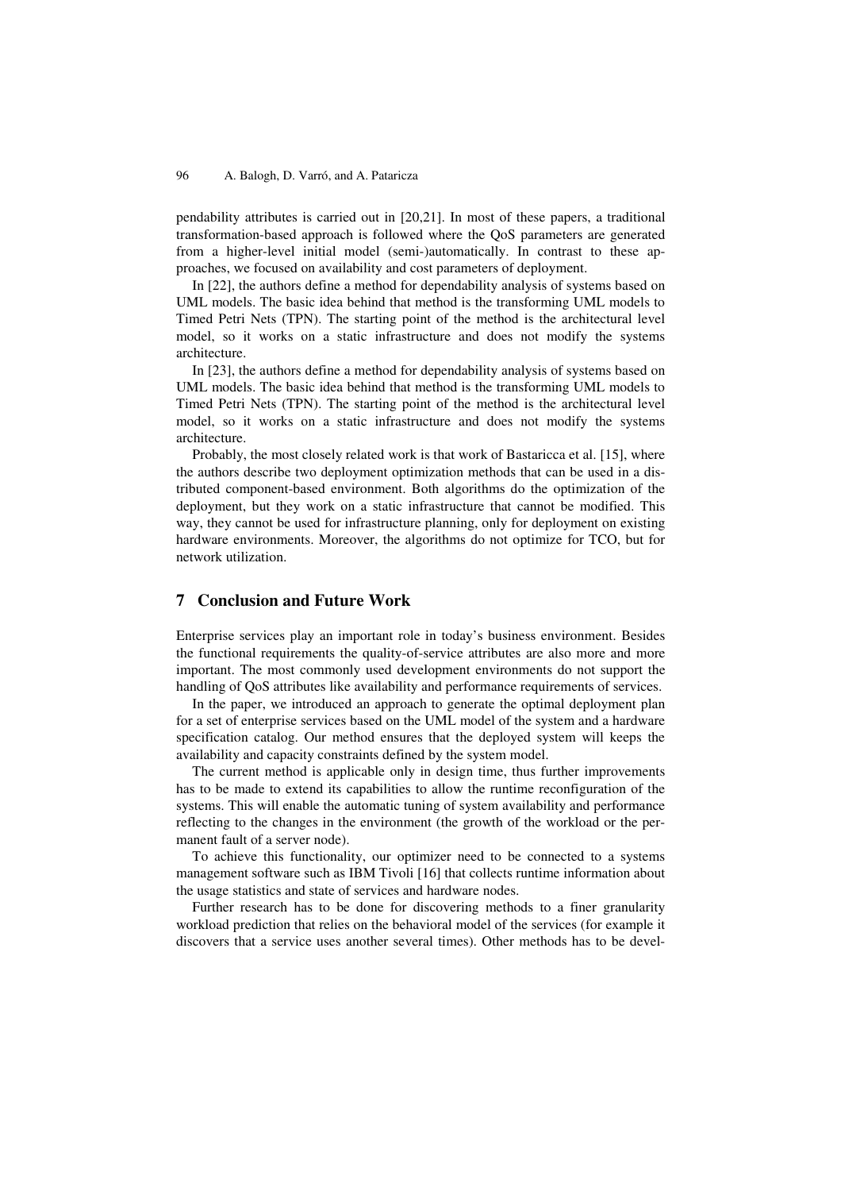pendability attributes is carried out in [20,21]. In most of these papers, a traditional transformation-based approach is followed where the QoS parameters are generated from a higher-level initial model (semi-)automatically. In contrast to these approaches, we focused on availability and cost parameters of deployment.

In [22], the authors define a method for dependability analysis of systems based on UML models. The basic idea behind that method is the transforming UML models to Timed Petri Nets (TPN). The starting point of the method is the architectural level model, so it works on a static infrastructure and does not modify the systems architecture.

In [23], the authors define a method for dependability analysis of systems based on UML models. The basic idea behind that method is the transforming UML models to Timed Petri Nets (TPN). The starting point of the method is the architectural level model, so it works on a static infrastructure and does not modify the systems architecture.

Probably, the most closely related work is that work of Bastaricca et al. [15], where the authors describe two deployment optimization methods that can be used in a distributed component-based environment. Both algorithms do the optimization of the deployment, but they work on a static infrastructure that cannot be modified. This way, they cannot be used for infrastructure planning, only for deployment on existing hardware environments. Moreover, the algorithms do not optimize for TCO, but for network utilization.

# **7 Conclusion and Future Work**

Enterprise services play an important role in today's business environment. Besides the functional requirements the quality-of-service attributes are also more and more important. The most commonly used development environments do not support the handling of QoS attributes like availability and performance requirements of services.

In the paper, we introduced an approach to generate the optimal deployment plan for a set of enterprise services based on the UML model of the system and a hardware specification catalog. Our method ensures that the deployed system will keeps the availability and capacity constraints defined by the system model.

The current method is applicable only in design time, thus further improvements has to be made to extend its capabilities to allow the runtime reconfiguration of the systems. This will enable the automatic tuning of system availability and performance reflecting to the changes in the environment (the growth of the workload or the permanent fault of a server node).

To achieve this functionality, our optimizer need to be connected to a systems management software such as IBM Tivoli [16] that collects runtime information about the usage statistics and state of services and hardware nodes.

Further research has to be done for discovering methods to a finer granularity workload prediction that relies on the behavioral model of the services (for example it discovers that a service uses another several times). Other methods has to be devel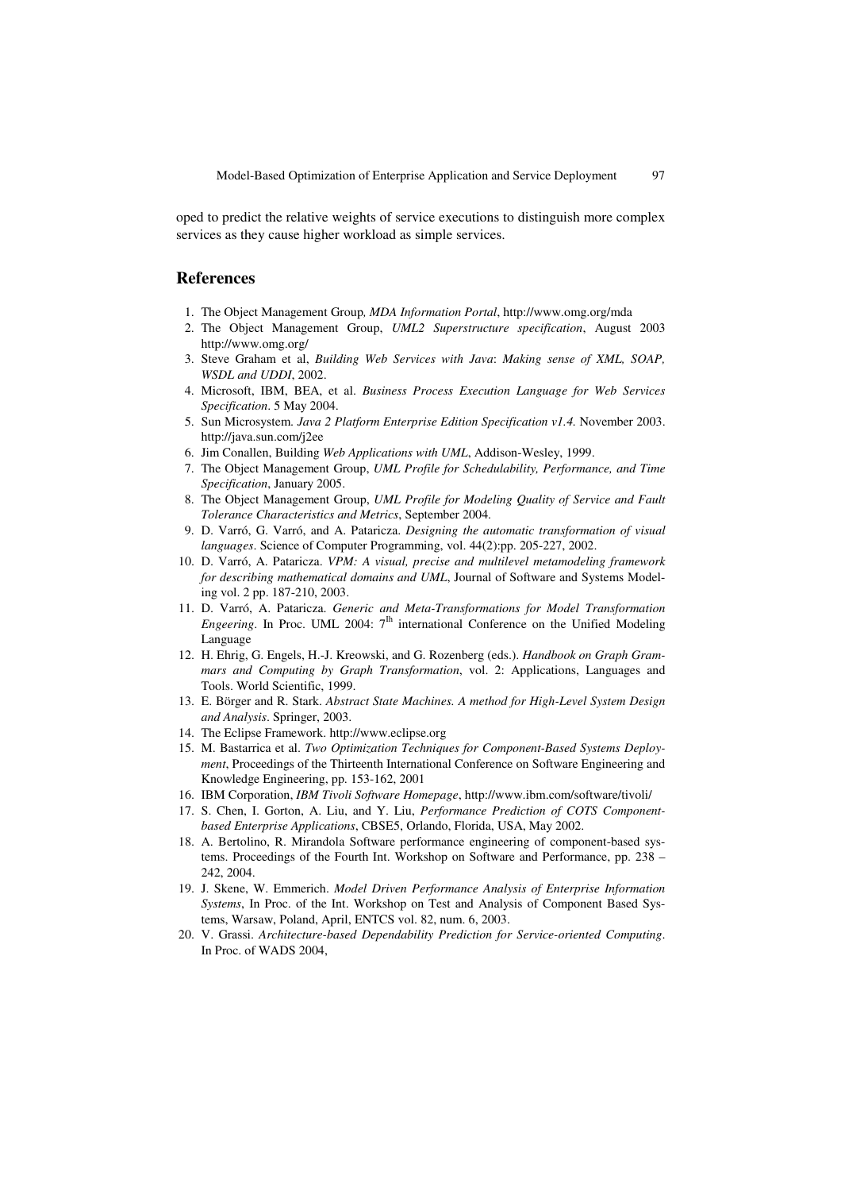oped to predict the relative weights of service executions to distinguish more complex services as they cause higher workload as simple services.

# **References**

- 1. The Object Management Group*, MDA Information Portal*, http://www.omg.org/mda
- 2. The Object Management Group, *UML2 Superstructure specification*, August 2003 http://www.omg.org/
- 3. Steve Graham et al, *Building Web Services with Java*: *Making sense of XML, SOAP, WSDL and UDDI*, 2002.
- 4. Microsoft, IBM, BEA, et al. *Business Process Execution Language for Web Services Specification*. 5 May 2004.
- 5. Sun Microsystem. *Java 2 Platform Enterprise Edition Specification v1.4.* November 2003. http://java.sun.com/j2ee
- 6. Jim Conallen, Building *Web Applications with UML*, Addison-Wesley, 1999.
- 7. The Object Management Group, *UML Profile for Schedulability, Performance, and Time Specification*, January 2005.
- 8. The Object Management Group, *UML Profile for Modeling Quality of Service and Fault Tolerance Characteristics and Metrics*, September 2004.
- 9. D. Varró, G. Varró, and A. Pataricza. *Designing the automatic transformation of visual languages*. Science of Computer Programming, vol. 44(2):pp. 205-227, 2002.
- 10. D. Varró, A. Pataricza. *VPM: A visual, precise and multilevel metamodeling framework for describing mathematical domains and UML*, Journal of Software and Systems Modeling vol. 2 pp. 187-210, 2003.
- 11. D. Varró, A. Pataricza. *Generic and Meta-Transformations for Model Transformation Engeering*. In Proc. UML 2004:  $7<sup>lh</sup>$  international Conference on the Unified Modeling Language
- 12. H. Ehrig, G. Engels, H.-J. Kreowski, and G. Rozenberg (eds.). *Handbook on Graph Grammars and Computing by Graph Transformation*, vol. 2: Applications, Languages and Tools. World Scientific, 1999.
- 13. E. Börger and R. Stark. *Abstract State Machines. A method for High-Level System Design and Analysis*. Springer, 2003.
- 14. The Eclipse Framework. http://www.eclipse.org
- 15. M. Bastarrica et al. *Two Optimization Techniques for Component-Based Systems Deployment*, Proceedings of the Thirteenth International Conference on Software Engineering and Knowledge Engineering, pp. 153-162, 2001
- 16. IBM Corporation, *IBM Tivoli Software Homepage*, http://www.ibm.com/software/tivoli/
- 17. S. Chen, I. Gorton, A. Liu, and Y. Liu, *Performance Prediction of COTS Componentbased Enterprise Applications*, CBSE5, Orlando, Florida, USA, May 2002.
- 18. A. Bertolino, R. Mirandola Software performance engineering of component-based systems. Proceedings of the Fourth Int. Workshop on Software and Performance, pp. 238 – 242, 2004.
- 19. J. Skene, W. Emmerich. *Model Driven Performance Analysis of Enterprise Information Systems*, In Proc. of the Int. Workshop on Test and Analysis of Component Based Systems, Warsaw, Poland, April, ENTCS vol. 82, num. 6, 2003.
- 20. V. Grassi. *Architecture-based Dependability Prediction for Service-oriented Computing*. In Proc. of WADS 2004,